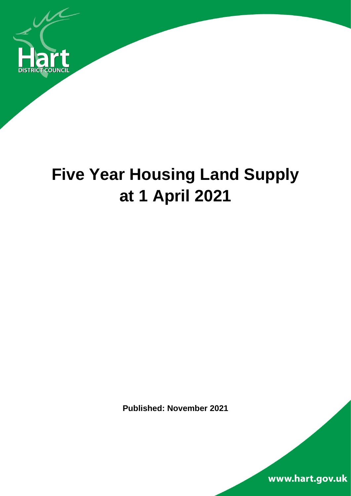

# **Five Year Housing Land Supply at 1 April 2021**

**Published: November 2021**

www.hart.gov.uk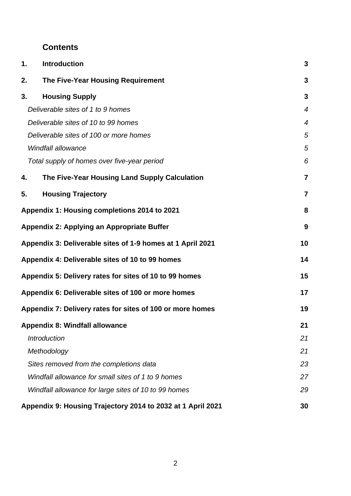### **Contents**

| 1. | <b>Introduction</b>                                         | 3                |
|----|-------------------------------------------------------------|------------------|
| 2. | The Five-Year Housing Requirement                           | $\mathbf{3}$     |
| 3. | <b>Housing Supply</b>                                       | $\mathbf{3}$     |
|    | Deliverable sites of 1 to 9 homes                           | $\boldsymbol{4}$ |
|    | Deliverable sites of 10 to 99 homes                         | $\overline{4}$   |
|    | Deliverable sites of 100 or more homes                      | 5                |
|    | <b>Windfall allowance</b>                                   | 5                |
|    | Total supply of homes over five-year period                 | 6                |
| 4. | The Five-Year Housing Land Supply Calculation               | $\overline{7}$   |
| 5. | <b>Housing Trajectory</b>                                   | $\overline{7}$   |
|    | Appendix 1: Housing completions 2014 to 2021                | 8                |
|    | Appendix 2: Applying an Appropriate Buffer                  | 9                |
|    | Appendix 3: Deliverable sites of 1-9 homes at 1 April 2021  | 10               |
|    | Appendix 4: Deliverable sites of 10 to 99 homes             | 14               |
|    | Appendix 5: Delivery rates for sites of 10 to 99 homes      | 15               |
|    | Appendix 6: Deliverable sites of 100 or more homes          | 17               |
|    | Appendix 7: Delivery rates for sites of 100 or more homes   | 19               |
|    | <b>Appendix 8: Windfall allowance</b>                       | 21               |
|    | <b>Introduction</b>                                         | 21               |
|    | Methodology                                                 | 21               |
|    | Sites removed from the completions data                     | 23               |
|    | Windfall allowance for small sites of 1 to 9 homes          | 27               |
|    | Windfall allowance for large sites of 10 to 99 homes        | 29               |
|    | Appendix 9: Housing Trajectory 2014 to 2032 at 1 April 2021 | 30               |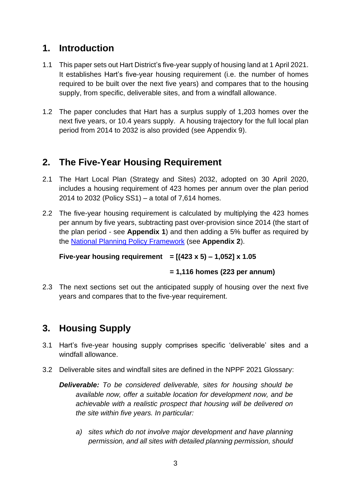# **1. Introduction**

- 1.1 This paper sets out Hart District's five-year supply of housing land at 1 April 2021. It establishes Hart's five-year housing requirement (i.e. the number of homes required to be built over the next five years) and compares that to the housing supply, from specific, deliverable sites, and from a windfall allowance.
- 1.2 The paper concludes that Hart has a surplus supply of 1,203 homes over the next five years, or 10.4 years supply. A housing trajectory for the full local plan period from 2014 to 2032 is also provided (see Appendix 9).

# **2. The Five-Year Housing Requirement**

- 2.1 The Hart Local Plan (Strategy and Sites) 2032, adopted on 30 April 2020, includes a housing requirement of 423 homes per annum over the plan period 2014 to 2032 (Policy SS1) – a total of 7,614 homes.
- 2.2 The five-year housing requirement is calculated by multiplying the 423 homes per annum by five years, subtracting past over-provision since 2014 (the start of the plan period - see **Appendix 1**) and then adding a 5% buffer as required by the [National Planning Policy Framework](https://www.gov.uk/guidance/national-planning-policy-framework) (see **Appendix 2**).

```
Five-year housing requirement = [(423 x 5) – 1,052] x 1.05
```
### **= 1,116 homes (223 per annum)**

2.3 The next sections set out the anticipated supply of housing over the next five years and compares that to the five-year requirement.

# **3. Housing Supply**

- 3.1 Hart's five-year housing supply comprises specific 'deliverable' sites and a windfall allowance.
- 3.2 Deliverable sites and windfall sites are defined in the NPPF 2021 Glossary:

*Deliverable: To be considered deliverable, sites for housing should be available now, offer a suitable location for development now, and be achievable with a realistic prospect that housing will be delivered on the site within five years. In particular:* 

*a) sites which do not involve major development and have planning permission, and all sites with detailed planning permission, should*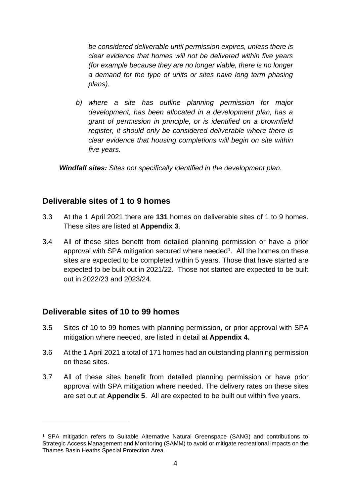*be considered deliverable until permission expires, unless there is clear evidence that homes will not be delivered within five years (for example because they are no longer viable, there is no longer a demand for the type of units or sites have long term phasing plans).* 

*b) where a site has outline planning permission for major development, has been allocated in a development plan, has a grant of permission in principle, or is identified on a brownfield register, it should only be considered deliverable where there is clear evidence that housing completions will begin on site within five years.*

*Windfall sites: Sites not specifically identified in the development plan.*

### **Deliverable sites of 1 to 9 homes**

- 3.3 At the 1 April 2021 there are **131** homes on deliverable sites of 1 to 9 homes. These sites are listed at **Appendix 3**.
- 3.4 All of these sites benefit from detailed planning permission or have a prior approval with SPA mitigation secured where needed<sup>1</sup>. All the homes on these sites are expected to be completed within 5 years. Those that have started are expected to be built out in 2021/22. Those not started are expected to be built out in 2022/23 and 2023/24.

### **Deliverable sites of 10 to 99 homes**

- 3.5 Sites of 10 to 99 homes with planning permission, or prior approval with SPA mitigation where needed, are listed in detail at **Appendix 4.**
- 3.6 At the 1 April 2021 a total of 171 homes had an outstanding planning permission on these sites.
- 3.7 All of these sites benefit from detailed planning permission or have prior approval with SPA mitigation where needed. The delivery rates on these sites are set out at **Appendix 5**. All are expected to be built out within five years.

<sup>1</sup> SPA mitigation refers to Suitable Alternative Natural Greenspace (SANG) and contributions to Strategic Access Management and Monitoring (SAMM) to avoid or mitigate recreational impacts on the Thames Basin Heaths Special Protection Area.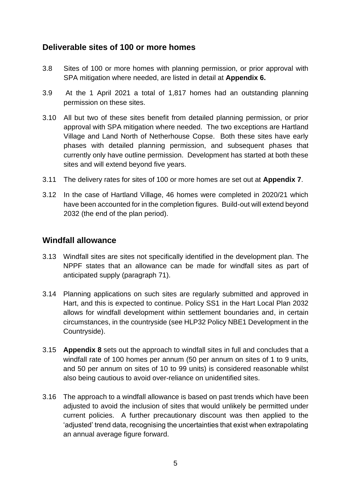### **Deliverable sites of 100 or more homes**

- 3.8 Sites of 100 or more homes with planning permission, or prior approval with SPA mitigation where needed, are listed in detail at **Appendix 6.**
- 3.9 At the 1 April 2021 a total of 1,817 homes had an outstanding planning permission on these sites.
- 3.10 All but two of these sites benefit from detailed planning permission, or prior approval with SPA mitigation where needed. The two exceptions are Hartland Village and Land North of Netherhouse Copse. Both these sites have early phases with detailed planning permission, and subsequent phases that currently only have outline permission. Development has started at both these sites and will extend beyond five years.
- 3.11 The delivery rates for sites of 100 or more homes are set out at **Appendix 7**.
- 3.12 In the case of Hartland Village, 46 homes were completed in 2020/21 which have been accounted for in the completion figures. Build-out will extend beyond 2032 (the end of the plan period).

### **Windfall allowance**

- 3.13 Windfall sites are sites not specifically identified in the development plan. The NPPF states that an allowance can be made for windfall sites as part of anticipated supply (paragraph 71).
- 3.14 Planning applications on such sites are regularly submitted and approved in Hart, and this is expected to continue. Policy SS1 in the Hart Local Plan 2032 allows for windfall development within settlement boundaries and, in certain circumstances, in the countryside (see HLP32 Policy NBE1 Development in the Countryside).
- 3.15 **Appendix 8** sets out the approach to windfall sites in full and concludes that a windfall rate of 100 homes per annum (50 per annum on sites of 1 to 9 units, and 50 per annum on sites of 10 to 99 units) is considered reasonable whilst also being cautious to avoid over-reliance on unidentified sites.
- 3.16 The approach to a windfall allowance is based on past trends which have been adjusted to avoid the inclusion of sites that would unlikely be permitted under current policies. A further precautionary discount was then applied to the 'adjusted' trend data, recognising the uncertainties that exist when extrapolating an annual average figure forward.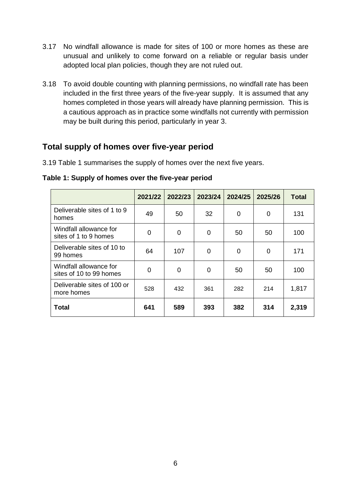- 3.17 No windfall allowance is made for sites of 100 or more homes as these are unusual and unlikely to come forward on a reliable or regular basis under adopted local plan policies, though they are not ruled out.
- 3.18 To avoid double counting with planning permissions, no windfall rate has been included in the first three years of the five-year supply. It is assumed that any homes completed in those years will already have planning permission. This is a cautious approach as in practice some windfalls not currently with permission may be built during this period, particularly in year 3.

### **Total supply of homes over five-year period**

3.19 Table 1 summarises the supply of homes over the next five years.

**2021/22 2022/23 2023/24 2024/25 2025/26 Total** Deliverable sites of 1 to 9  $\frac{1}{2}$  homes homes  $\begin{vmatrix} 49 & 50 \\ 0 & 32 \end{vmatrix}$  0  $\begin{vmatrix} 0 & 0 \\ 0 & 131 \end{vmatrix}$ Windfall allowance for  $\frac{1}{\text{Sites of 1 to 9 homes}}$  0 0 0 50 50 100 Deliverable sites of 10 to  $\frac{1}{2}$ <br>99 homes 64 | 107 | 0 | 0 | 0 | 171 Windfall allowance for  $\frac{1}{2}$  sites of 10 to 99 homes  $\begin{vmatrix} 0 & 0 \\ 0 & 0 \end{vmatrix}$  0  $\begin{vmatrix} 50 & 50 \\ 0 & 50 \end{vmatrix}$  100

Deliverable sites of 100 of  $\begin{vmatrix} 528 & 432 \\ 92 & 361 \end{vmatrix}$  282  $\begin{vmatrix} 214 & 1,817 \\ 214 & 1,817 \end{vmatrix}$ 

**Total 641 589 393 382 314 2,319**

**Table 1: Supply of homes over the five-year period**

Deliverable sites of 100 or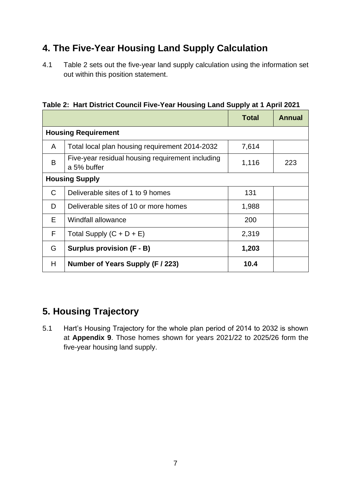# **4. The Five-Year Housing Land Supply Calculation**

4.1 Table 2 sets out the five-year land supply calculation using the information set out within this position statement.

|                       |                                                                 | <b>Total</b> | <b>Annual</b> |  |  |  |  |
|-----------------------|-----------------------------------------------------------------|--------------|---------------|--|--|--|--|
|                       | <b>Housing Requirement</b>                                      |              |               |  |  |  |  |
| A                     | Total local plan housing requirement 2014-2032                  | 7,614        |               |  |  |  |  |
| B                     | Five-year residual housing requirement including<br>a 5% buffer | 1,116        | 223           |  |  |  |  |
| <b>Housing Supply</b> |                                                                 |              |               |  |  |  |  |
| C                     | Deliverable sites of 1 to 9 homes                               | 131          |               |  |  |  |  |
| D                     | Deliverable sites of 10 or more homes                           | 1,988        |               |  |  |  |  |
| Е                     | Windfall allowance                                              | 200          |               |  |  |  |  |
| F                     | Total Supply $(C + D + E)$                                      | 2,319        |               |  |  |  |  |
| G                     | <b>Surplus provision (F - B)</b>                                | 1,203        |               |  |  |  |  |
| H                     | Number of Years Supply (F / 223)                                | 10.4         |               |  |  |  |  |

**Table 2: Hart District Council Five-Year Housing Land Supply at 1 April 2021**

# **5. Housing Trajectory**

5.1 Hart's Housing Trajectory for the whole plan period of 2014 to 2032 is shown at **Appendix 9**. Those homes shown for years 2021/22 to 2025/26 form the five-year housing land supply.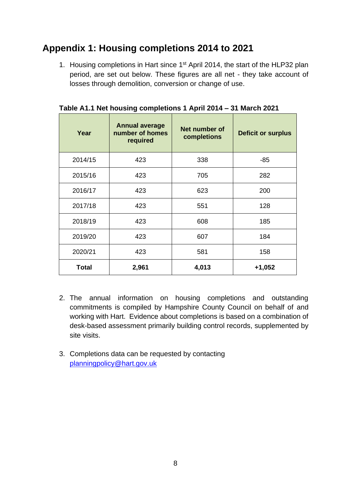# **Appendix 1: Housing completions 2014 to 2021**

1. Housing completions in Hart since 1<sup>st</sup> April 2014, the start of the HLP32 plan period, are set out below. These figures are all net - they take account of losses through demolition, conversion or change of use.

| Year         | <b>Annual average</b><br>number of homes<br>required | Net number of<br>completions | <b>Deficit or surplus</b> |
|--------------|------------------------------------------------------|------------------------------|---------------------------|
| 2014/15      | 423                                                  | 338                          | -85                       |
| 2015/16      | 423                                                  | 705                          | 282                       |
| 2016/17      | 423                                                  | 623                          | 200                       |
| 2017/18      | 423                                                  | 551                          | 128                       |
| 2018/19      | 423                                                  | 608                          | 185                       |
| 2019/20      | 423                                                  | 607                          | 184                       |
| 2020/21      | 423                                                  | 581                          | 158                       |
| <b>Total</b> | 2,961                                                | 4,013                        | $+1,052$                  |

**Table A1.1 Net housing completions 1 April 2014 – 31 March 2021**

- 2. The annual information on housing completions and outstanding commitments is compiled by Hampshire County Council on behalf of and working with Hart. Evidence about completions is based on a combination of desk-based assessment primarily building control records, supplemented by site visits.
- 3. Completions data can be requested by contacting [planningpolicy@hart.gov.uk](mailto:planningpolicy@hart.gov.uk)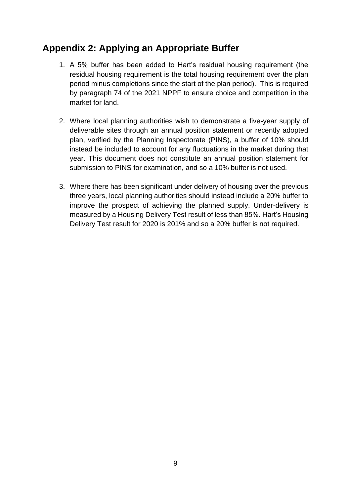# **Appendix 2: Applying an Appropriate Buffer**

- 1. A 5% buffer has been added to Hart's residual housing requirement (the residual housing requirement is the total housing requirement over the plan period minus completions since the start of the plan period). This is required by paragraph 74 of the 2021 NPPF to ensure choice and competition in the market for land.
- 2. Where local planning authorities wish to demonstrate a five-year supply of deliverable sites through an annual position statement or recently adopted plan, verified by the Planning Inspectorate (PINS), a buffer of 10% should instead be included to account for any fluctuations in the market during that year. This document does not constitute an annual position statement for submission to PINS for examination, and so a 10% buffer is not used.
- 3. Where there has been significant under delivery of housing over the previous three years, local planning authorities should instead include a 20% buffer to improve the prospect of achieving the planned supply. Under-delivery is measured by a Housing Delivery Test result of less than 85%. Hart's Housing Delivery Test result for 2020 is 201% and so a 20% buffer is not required.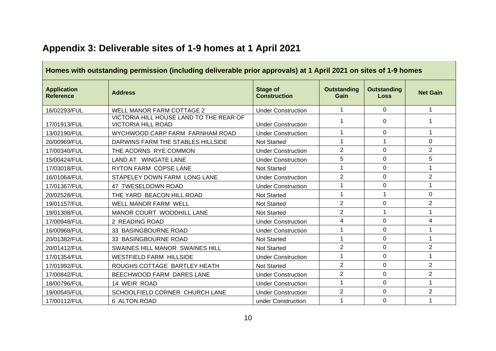| Homes with outstanding permission (including deliverable prior approvals) at 1 April 2021 on sites of 1-9 homes |                                                                      |                                        |                            |                                   |                 |  |  |  |  |  |  |  |
|-----------------------------------------------------------------------------------------------------------------|----------------------------------------------------------------------|----------------------------------------|----------------------------|-----------------------------------|-----------------|--|--|--|--|--|--|--|
| <b>Application</b><br><b>Reference</b>                                                                          | <b>Address</b>                                                       | <b>Stage of</b><br><b>Construction</b> | <b>Outstanding</b><br>Gain | <b>Outstanding</b><br><b>Loss</b> | <b>Net Gain</b> |  |  |  |  |  |  |  |
| 16/02293/FUL                                                                                                    | WELL MANOR FARM COTTAGE 2                                            | <b>Under Construction</b>              | 1                          | $\Omega$                          | 1               |  |  |  |  |  |  |  |
| 17/01913/FUL                                                                                                    | VICTORIA HILL HOUSE LAND TO THE REAR OF<br><b>VICTORIA HILL ROAD</b> | <b>Under Construction</b>              | 1                          | $\Omega$                          | 1               |  |  |  |  |  |  |  |
| 13/02190/FUL                                                                                                    | WYCHWOOD CARP FARM FARNHAM ROAD                                      | <b>Under Construction</b>              | 1                          | 0                                 | 1               |  |  |  |  |  |  |  |
| 20/00969/FUL                                                                                                    | DARWINS FARM THE STABLES HILLSIDE                                    | <b>Not Started</b>                     | $\mathbf 1$                | 1                                 | $\Omega$        |  |  |  |  |  |  |  |
| 17/00340/FUL                                                                                                    | THE ACORNS RYE COMMON                                                | <b>Under Construction</b>              | $\overline{2}$             | 0                                 | $\overline{2}$  |  |  |  |  |  |  |  |
| 15/00424/FUL                                                                                                    | LAND AT WINGATE LANE                                                 | <b>Under Construction</b>              | 5                          | 0                                 | 5               |  |  |  |  |  |  |  |
| 17/03018/FUL                                                                                                    | RYTON FARM COPSE LANE                                                | <b>Not Started</b>                     | 1                          | $\Omega$                          | 1               |  |  |  |  |  |  |  |
| 16/01064/FUL                                                                                                    | STAPELEY DOWN FARM LONG LANE                                         | <b>Under Construction</b>              | $\overline{2}$             | 0                                 | $\overline{2}$  |  |  |  |  |  |  |  |
| 17/01367/FUL                                                                                                    | 47 TWESELDOWN ROAD                                                   | <b>Under Construction</b>              | 1                          | 0                                 | $\mathbf 1$     |  |  |  |  |  |  |  |
| 20/02528/FUL                                                                                                    | THE YARD BEACON HILL ROAD                                            | <b>Not Started</b>                     | $\mathbf{1}$               | 1                                 | 0               |  |  |  |  |  |  |  |
| 19/01157/FUL                                                                                                    | WELL MANOR FARM WELL                                                 | <b>Not Started</b>                     | $\overline{2}$             | $\Omega$                          | $\overline{2}$  |  |  |  |  |  |  |  |
| 19/01308/FUL                                                                                                    | MANOR COURT WOODHILL LANE                                            | <b>Not Started</b>                     | $\overline{2}$             | 1                                 | $\mathbf{1}$    |  |  |  |  |  |  |  |
| 17/00948/FUL                                                                                                    | 2 READING ROAD                                                       | <b>Under Construction</b>              | 4                          | 0                                 | 4               |  |  |  |  |  |  |  |
| 16/00968/FUL                                                                                                    | 33 BASINGBOURNE ROAD                                                 | <b>Under Construction</b>              | 1                          | $\mathbf 0$                       | 1               |  |  |  |  |  |  |  |
| 20/01382/FUL                                                                                                    | 33 BASINGBOURNE ROAD                                                 | <b>Not Started</b>                     | $\mathbf{1}$               | $\mathbf 0$                       | $\mathbf{1}$    |  |  |  |  |  |  |  |
| 20/01412/FUL                                                                                                    | SWAINES HILL MANOR SWAINES HILL                                      | <b>Not Started</b>                     | $\overline{2}$             | $\Omega$                          | $\overline{2}$  |  |  |  |  |  |  |  |
| 17/01354/FUL                                                                                                    | <b>WESTFIELD FARM HILLSIDE</b>                                       | <b>Under Construction</b>              | $\mathbf{1}$               | $\overline{0}$                    | $\mathbf{1}$    |  |  |  |  |  |  |  |
| 17/01992/FUL                                                                                                    | ROUGHS COTTAGE BARTLEY HEATH                                         | Not Started                            | $\overline{2}$             | $\Omega$                          | $\overline{2}$  |  |  |  |  |  |  |  |
| 17/00842/FUL                                                                                                    | BEECHWOOD FARM DARES LANE                                            | <b>Under Construction</b>              | $\overline{2}$             | $\overline{0}$                    | $\overline{2}$  |  |  |  |  |  |  |  |
| 18/00796/FUL                                                                                                    | 14 WEIR ROAD                                                         | <b>Under Construction</b>              | $\mathbf{1}$               | $\mathbf 0$                       | $\mathbf{1}$    |  |  |  |  |  |  |  |
| 19/00545/FUL                                                                                                    | SCHOOLFIELD CORNER CHURCH LANE                                       | <b>Under Construction</b>              | $\overline{2}$             | 0                                 | $\overline{2}$  |  |  |  |  |  |  |  |
| 17/00112/FUL                                                                                                    | 6 ALTON ROAD                                                         | under Construction                     | 1                          | $\mathbf 0$                       | 1               |  |  |  |  |  |  |  |

# **Appendix 3: Deliverable sites of 1-9 homes at 1 April 2021**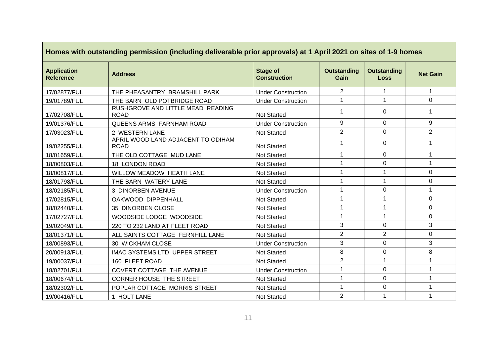|                                        | Homes with outstanding permission (including deliverable prior approvals) at 1 April 2021 on sites of 1-9 homes |                                        |                            |                            |                 |  |  |  |  |  |  |
|----------------------------------------|-----------------------------------------------------------------------------------------------------------------|----------------------------------------|----------------------------|----------------------------|-----------------|--|--|--|--|--|--|
| <b>Application</b><br><b>Reference</b> | <b>Address</b>                                                                                                  | <b>Stage of</b><br><b>Construction</b> | <b>Outstanding</b><br>Gain | <b>Outstanding</b><br>Loss | <b>Net Gain</b> |  |  |  |  |  |  |
| 17/02877/FUL                           | THE PHEASANTRY BRAMSHILL PARK                                                                                   | <b>Under Construction</b>              | $\overline{2}$             | $\mathbf{1}$               | $\mathbf 1$     |  |  |  |  |  |  |
| 19/01789/FUL                           | THE BARN OLD POTBRIDGE ROAD                                                                                     | <b>Under Construction</b>              | 1                          | 1                          | 0               |  |  |  |  |  |  |
| 17/02708/FUL                           | RUSHGROVE AND LITTLE MEAD READING<br><b>ROAD</b>                                                                | <b>Not Started</b>                     | 1                          | $\Omega$                   | 1               |  |  |  |  |  |  |
| 19/01376/FUL                           | QUEENS ARMS FARNHAM ROAD                                                                                        | <b>Under Construction</b>              | 9                          | $\Omega$                   | 9               |  |  |  |  |  |  |
| 17/03023/FUL                           | 2 WESTERN LANE                                                                                                  | <b>Not Started</b>                     | $\overline{2}$             | $\mathbf 0$                | $\overline{2}$  |  |  |  |  |  |  |
| 19/02255/FUL                           | APRIL WOOD LAND ADJACENT TO ODIHAM<br><b>ROAD</b>                                                               | <b>Not Started</b>                     | 1                          | $\Omega$                   | 1               |  |  |  |  |  |  |
| 18/01659/FUL                           | THE OLD COTTAGE MUD LANE                                                                                        | <b>Not Started</b>                     | 1                          | $\Omega$                   | 1               |  |  |  |  |  |  |
| 18/00803/FUL                           | 18 LONDON ROAD                                                                                                  | Not Started                            | 1                          | $\overline{0}$             | 1               |  |  |  |  |  |  |
| 18/00817/FUL                           | WILLOW MEADOW HEATH LANE                                                                                        | <b>Not Started</b>                     | 1                          | 1                          | 0               |  |  |  |  |  |  |
| 18/01798/FUL                           | THE BARN WATERY LANE                                                                                            | <b>Not Started</b>                     | 1                          | 1                          | $\Omega$        |  |  |  |  |  |  |
| 18/02185/FUL                           | 3 DINORBEN AVENUE                                                                                               | <b>Under Construction</b>              | 1                          | $\overline{0}$             | 1               |  |  |  |  |  |  |
| 17/02815/FUL                           | OAKWOOD DIPPENHALL                                                                                              | <b>Not Started</b>                     | 1                          | 1                          | 0               |  |  |  |  |  |  |
| 18/02440/FUL                           | 35 DINORBEN CLOSE                                                                                               | Not Started                            | 1                          | 1                          | 0               |  |  |  |  |  |  |
| 17/02727/FUL                           | WOODSIDE LODGE WOODSIDE                                                                                         | <b>Not Started</b>                     | 1                          | 1                          | 0               |  |  |  |  |  |  |
| 19/02049/FUL                           | 220 TO 232 LAND AT FLEET ROAD                                                                                   | <b>Not Started</b>                     | 3                          | $\mathbf 0$                | 3               |  |  |  |  |  |  |
| 18/01371/FUL                           | ALL SAINTS COTTAGE FERNHILL LANE                                                                                | <b>Not Started</b>                     | $\overline{2}$             | $\overline{2}$             | 0               |  |  |  |  |  |  |
| 18/00893/FUL                           | 30 WICKHAM CLOSE                                                                                                | <b>Under Construction</b>              | 3                          | $\Omega$                   | 3               |  |  |  |  |  |  |
| 20/00913/FUL                           | <b>IMAC SYSTEMS LTD UPPER STREET</b>                                                                            | <b>Not Started</b>                     | 8                          | $\Omega$                   | 8               |  |  |  |  |  |  |
| 19/00037/FUL                           | 160 FLEET ROAD                                                                                                  | <b>Not Started</b>                     | $\overline{2}$             | 1                          | 1               |  |  |  |  |  |  |
| 18/02701/FUL                           | COVERT COTTAGE THE AVENUE                                                                                       | <b>Under Construction</b>              | 1                          | $\mathbf 0$                | 1               |  |  |  |  |  |  |
| 18/00674/FUL                           | <b>CORNER HOUSE THE STREET</b>                                                                                  | <b>Not Started</b>                     | 1                          | $\Omega$                   | 1               |  |  |  |  |  |  |
| 18/02302/FUL                           | POPLAR COTTAGE MORRIS STREET                                                                                    | <b>Not Started</b>                     | 1                          | $\mathbf 0$                | 1               |  |  |  |  |  |  |
| 19/00416/FUL                           | 1 HOLT LANE                                                                                                     | <b>Not Started</b>                     | $\overline{2}$             | $\mathbf{1}$               | 1               |  |  |  |  |  |  |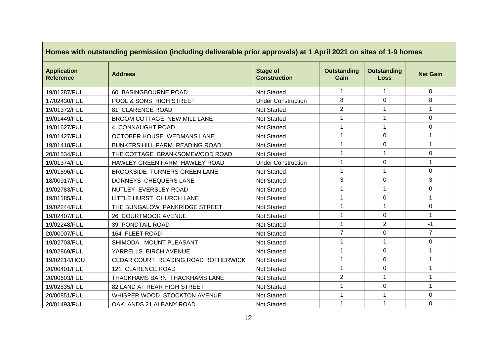|                                        | Homes with outstanding permission (including deliverable prior approvals) at 1 April 2021 on sites of 1-9 homes |                                        |                            |                                   |                 |  |  |  |  |  |  |  |
|----------------------------------------|-----------------------------------------------------------------------------------------------------------------|----------------------------------------|----------------------------|-----------------------------------|-----------------|--|--|--|--|--|--|--|
| <b>Application</b><br><b>Reference</b> | <b>Address</b>                                                                                                  | <b>Stage of</b><br><b>Construction</b> | <b>Outstanding</b><br>Gain | <b>Outstanding</b><br><b>Loss</b> | <b>Net Gain</b> |  |  |  |  |  |  |  |
| 19/01287/FUL                           | 60 BASINGBOURNE ROAD                                                                                            | <b>Not Started</b>                     | $\mathbf 1$                | $\mathbf 1$                       | $\Omega$        |  |  |  |  |  |  |  |
| 17/02430/FUL                           | POOL & SONS HIGH STREET                                                                                         | <b>Under Construction</b>              | 8                          | $\mathbf 0$                       | 8               |  |  |  |  |  |  |  |
| 19/01372/FUL                           | 81 CLARENCE ROAD                                                                                                | <b>Not Started</b>                     | $\overline{2}$             | 1                                 |                 |  |  |  |  |  |  |  |
| 19/01449/FUL                           | BROOM COTTAGE NEW MILL LANE                                                                                     | Not Started                            | $\mathbf{1}$               | 1                                 | $\Omega$        |  |  |  |  |  |  |  |
| 19/01627/FUL                           | 4 CONNAUGHT ROAD                                                                                                | <b>Not Started</b>                     | $\mathbf{1}$               | 1                                 | 0               |  |  |  |  |  |  |  |
| 19/01427/FUL                           | OCTOBER HOUSE WEDMANS LANE                                                                                      | <b>Not Started</b>                     | 1                          | $\mathbf 0$                       | 1               |  |  |  |  |  |  |  |
| 19/01418/FUL                           | BUNKERS HILL FARM READING ROAD                                                                                  | <b>Not Started</b>                     | $\mathbf{1}$               | $\Omega$                          | 1               |  |  |  |  |  |  |  |
| 20/01534/FUL                           | THE COTTAGE BRANKSOMEWOOD ROAD                                                                                  | Not Started                            | $\mathbf{1}$               | $\mathbf 1$                       | 0               |  |  |  |  |  |  |  |
| 19/01374/FUL                           | HAWLEY GREEN FARM HAWLEY ROAD                                                                                   | <b>Under Construction</b>              | 1                          | $\mathbf 0$                       | 1               |  |  |  |  |  |  |  |
| 19/01896/FUL                           | BROOKSIDE TURNERS GREEN LANE                                                                                    | <b>Not Started</b>                     | $\mathbf{1}$               | $\mathbf 1$                       | $\Omega$        |  |  |  |  |  |  |  |
| 18/00917/FUL                           | DORNEYS CHEQUERS LANE                                                                                           | <b>Not Started</b>                     | 3                          | $\Omega$                          | 3               |  |  |  |  |  |  |  |
| 19/02783/FUL                           | NUTLEY EVERSLEY ROAD                                                                                            | Not Started                            | $\mathbf{1}$               | 1                                 | $\Omega$        |  |  |  |  |  |  |  |
| 19/01185/FUL                           | LITTLE HURST CHURCH LANE                                                                                        | <b>Not Started</b>                     | $\mathbf{1}$               | $\Omega$                          | 1               |  |  |  |  |  |  |  |
| 19/02244/FUL                           | THE BUNGALOW PANKRIDGE STREET                                                                                   | Not Started                            | 1                          | 1                                 | 0               |  |  |  |  |  |  |  |
| 19/02407/FUL                           | 26 COURTMOOR AVENUE                                                                                             | <b>Not Started</b>                     | 1                          | $\Omega$                          | 1               |  |  |  |  |  |  |  |
| 19/02248/FUL                           | 39 PONDTAIL ROAD                                                                                                | Not Started                            | $\mathbf{1}$               | $\overline{2}$                    | $-1$            |  |  |  |  |  |  |  |
| 20/00007/FUL                           | 164 FLEET ROAD                                                                                                  | <b>Not Started</b>                     | $\overline{7}$             | $\Omega$                          | $\overline{7}$  |  |  |  |  |  |  |  |
| 19/02703/FUL                           | SHIMODA MOUNT PLEASANT                                                                                          | <b>Not Started</b>                     | $\mathbf 1$                | $\mathbf 1$                       | 0               |  |  |  |  |  |  |  |
| 19/02869/FUL                           | YARRELLS BIRCH AVENUE                                                                                           | <b>Not Started</b>                     | $\mathbf{1}$               | $\mathbf 0$                       | 1               |  |  |  |  |  |  |  |
| 19/02214/HOU                           | CEDAR COURT READING ROAD ROTHERWICK                                                                             | <b>Not Started</b>                     | 1                          | $\mathbf 0$                       | 1               |  |  |  |  |  |  |  |
| 20/00401/FUL                           | 121 CLARENCE ROAD                                                                                               | <b>Not Started</b>                     | 1                          | $\Omega$                          | 1               |  |  |  |  |  |  |  |
| 20/00603/FUL                           | THACKHAMS BARN THACKHAMS LANE                                                                                   | Not Started                            | $\overline{2}$             | 1                                 | $\mathbf 1$     |  |  |  |  |  |  |  |
| 19/02835/FUL                           | 82 LAND AT REAR HIGH STREET                                                                                     | <b>Not Started</b>                     | $\mathbf{1}$               | $\mathbf 0$                       | 1               |  |  |  |  |  |  |  |
| 20/00851/FUL                           | WHISPER WOOD STOCKTON AVENUE                                                                                    | <b>Not Started</b>                     | 1                          | 1                                 | 0               |  |  |  |  |  |  |  |
| 20/01493/FUL                           | OAKLANDS 21 ALBANY ROAD                                                                                         | <b>Not Started</b>                     | $\mathbf{1}$               | 1                                 | $\mathbf 0$     |  |  |  |  |  |  |  |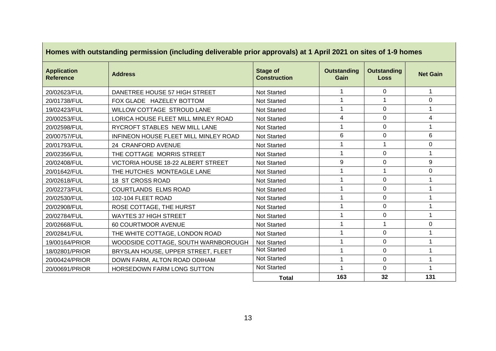| Homes with outstanding permission (including deliverable prior approvals) at 1 April 2021 on sites of 1-9 homes |                                       |                                        |                            |                                   |                 |  |  |  |  |  |
|-----------------------------------------------------------------------------------------------------------------|---------------------------------------|----------------------------------------|----------------------------|-----------------------------------|-----------------|--|--|--|--|--|
| <b>Application</b><br><b>Reference</b>                                                                          | <b>Address</b>                        | <b>Stage of</b><br><b>Construction</b> | <b>Outstanding</b><br>Gain | <b>Outstanding</b><br><b>Loss</b> | <b>Net Gain</b> |  |  |  |  |  |
| 20/02623/FUL                                                                                                    | DANETREE HOUSE 57 HIGH STREET         | Not Started                            |                            | $\Omega$                          | 1               |  |  |  |  |  |
| 20/01738/FUL                                                                                                    | FOX GLADE HAZELEY BOTTOM              | <b>Not Started</b>                     |                            |                                   | 0               |  |  |  |  |  |
| 19/02423/FUL                                                                                                    | WILLOW COTTAGE STROUD LANE            | <b>Not Started</b>                     |                            | $\Omega$                          |                 |  |  |  |  |  |
| 20/00253/FUL                                                                                                    | LORICA HOUSE FLEET MILL MINLEY ROAD   | <b>Not Started</b>                     | 4                          | $\mathbf 0$                       | 4               |  |  |  |  |  |
| 20/02598/FUL                                                                                                    | RYCROFT STABLES NEW MILL LANE         | <b>Not Started</b>                     |                            | $\Omega$                          |                 |  |  |  |  |  |
| 20/00757/FUL                                                                                                    | INFINEON HOUSE FLEET MILL MINLEY ROAD | <b>Not Started</b>                     | 6                          | $\mathbf 0$                       | 6               |  |  |  |  |  |
| 20/01793/FUL                                                                                                    | 24 CRANFORD AVENUE                    | <b>Not Started</b>                     |                            | 1                                 | 0               |  |  |  |  |  |
| 20/02356/FUL                                                                                                    | THE COTTAGE MORRIS STREET             | Not Started                            |                            | $\mathbf 0$                       | 1               |  |  |  |  |  |
| 20/02408/FUL                                                                                                    | VICTORIA HOUSE 18-22 ALBERT STREET    | <b>Not Started</b>                     | 9                          | $\Omega$                          | 9               |  |  |  |  |  |
| 20/01642/FUL                                                                                                    | THE HUTCHES MONTEAGLE LANE            | <b>Not Started</b>                     |                            |                                   | $\mathbf 0$     |  |  |  |  |  |
| 20/02618/FUL                                                                                                    | 18 ST CROSS ROAD                      | <b>Not Started</b>                     |                            | $\Omega$                          |                 |  |  |  |  |  |
| 20/02273/FUL                                                                                                    | COURTLANDS ELMS ROAD                  | Not Started                            |                            | $\Omega$                          | 1               |  |  |  |  |  |
| 20/02530/FUL                                                                                                    | 102-104 FLEET ROAD                    | <b>Not Started</b>                     |                            | $\mathbf 0$                       |                 |  |  |  |  |  |
| 20/02908/FUL                                                                                                    | ROSE COTTAGE, THE HURST               | <b>Not Started</b>                     |                            | $\Omega$                          |                 |  |  |  |  |  |
| 20/02784/FUL                                                                                                    | <b>WAYTES 37 HIGH STREET</b>          | <b>Not Started</b>                     |                            | $\mathbf 0$                       |                 |  |  |  |  |  |
| 20/02668/FUL                                                                                                    | 60 COURTMOOR AVENUE                   | <b>Not Started</b>                     |                            | -1                                | 0               |  |  |  |  |  |
| 20/02841/FUL                                                                                                    | THE WHITE COTTAGE, LONDON ROAD        | <b>Not Started</b>                     |                            | $\mathbf 0$                       |                 |  |  |  |  |  |
| 19/00164/PRIOR                                                                                                  | WOODSIDE COTTAGE, SOUTH WARNBOROUGH   | <b>Not Started</b>                     |                            | $\Omega$                          |                 |  |  |  |  |  |
| 18/02801/PRIOR                                                                                                  | BRYSLAN HOUSE, UPPER STREET, FLEET    | <b>Not Started</b>                     |                            | $\mathbf 0$                       |                 |  |  |  |  |  |
| 20/00424/PRIOR                                                                                                  | DOWN FARM, ALTON ROAD ODIHAM          | Not Started                            |                            | $\mathbf 0$                       |                 |  |  |  |  |  |
| 20/00691/PRIOR                                                                                                  | HORSEDOWN FARM LONG SUTTON            | Not Started                            |                            | $\mathbf 0$                       | 1               |  |  |  |  |  |
|                                                                                                                 |                                       | <b>Total</b>                           | 163                        | 32                                | 131             |  |  |  |  |  |

 $\mathbb{R}^2$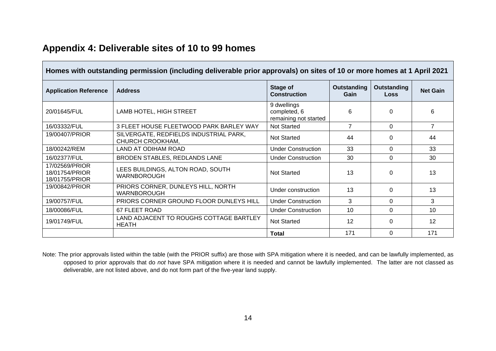| Homes with outstanding permission (including deliverable prior approvals) on sites of 10 or more homes at 1 April 2021 |                                                            |                                                      |                     |                            |                 |  |  |  |  |  |  |
|------------------------------------------------------------------------------------------------------------------------|------------------------------------------------------------|------------------------------------------------------|---------------------|----------------------------|-----------------|--|--|--|--|--|--|
| <b>Application Reference</b>                                                                                           | <b>Address</b>                                             | Stage of<br><b>Construction</b>                      | Outstanding<br>Gain | Outstanding<br><b>Loss</b> | <b>Net Gain</b> |  |  |  |  |  |  |
| 20/01645/FUL                                                                                                           | LAMB HOTEL, HIGH STREET                                    | 9 dwellings<br>completed, 6<br>remaining not started | 6                   | $\Omega$                   | 6               |  |  |  |  |  |  |
| 16/03332/FUL                                                                                                           | 3 FLEET HOUSE FLEETWOOD PARK BARLEY WAY                    | <b>Not Started</b>                                   | 7                   | $\Omega$                   | 7               |  |  |  |  |  |  |
| 19/00407/PRIOR                                                                                                         | SILVERGATE, REDFIELDS INDUSTRIAL PARK,<br>CHURCH CROOKHAM, | <b>Not Started</b>                                   | 44                  | $\Omega$                   | 44              |  |  |  |  |  |  |
| 18/00242/REM                                                                                                           | LAND AT ODIHAM ROAD                                        | <b>Under Construction</b>                            | 33                  | $\Omega$                   | 33              |  |  |  |  |  |  |
| 16/02377/FUL                                                                                                           | BRODEN STABLES, REDLANDS LANE                              | <b>Under Construction</b>                            | 30                  | $\Omega$                   | 30              |  |  |  |  |  |  |
| 17/02569/PRIOR<br>18/01754/PRIOR<br>18/01755/PRIOR                                                                     | LEES BUILDINGS, ALTON ROAD, SOUTH<br><b>WARNBOROUGH</b>    | <b>Not Started</b>                                   | 13                  | $\Omega$                   | 13              |  |  |  |  |  |  |
| 19/00842/PRIOR                                                                                                         | PRIORS CORNER, DUNLEYS HILL, NORTH<br><b>WARNBOROUGH</b>   | Under construction                                   | 13                  | $\Omega$                   | 13              |  |  |  |  |  |  |
| 19/00757/FUL                                                                                                           | PRIORS CORNER GROUND FLOOR DUNLEYS HILL                    | <b>Under Construction</b>                            | 3                   | $\Omega$                   | 3               |  |  |  |  |  |  |
| 18/00086/FUL                                                                                                           | 67 FLEET ROAD                                              | <b>Under Construction</b>                            | 10                  | $\Omega$                   | 10              |  |  |  |  |  |  |
| 19/01749/FUL                                                                                                           | LAND ADJACENT TO ROUGHS COTTAGE BARTLEY<br><b>HEATH</b>    | <b>Not Started</b>                                   | $12 \overline{ }$   | $\Omega$                   | 12              |  |  |  |  |  |  |
|                                                                                                                        |                                                            | <b>Total</b>                                         | 171                 | $\Omega$                   | 171             |  |  |  |  |  |  |

# **Appendix 4: Deliverable sites of 10 to 99 homes**

Note: The prior approvals listed within the table (with the PRIOR suffix) are those with SPA mitigation where it is needed, and can be lawfully implemented, as opposed to prior approvals that do *not* have SPA mitigation where it is needed and cannot be lawfully implemented. The latter are not classed as deliverable, are not listed above, and do not form part of the five-year land supply.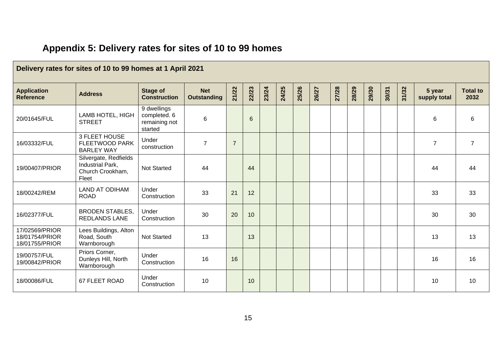|                                                    | Delivery rates for sites of 10 to 99 homes at 1 April 2021             |                                                         |                                  |                |                |       |       |       |       |       |       |       |       |       |                        |                         |
|----------------------------------------------------|------------------------------------------------------------------------|---------------------------------------------------------|----------------------------------|----------------|----------------|-------|-------|-------|-------|-------|-------|-------|-------|-------|------------------------|-------------------------|
| <b>Application</b><br><b>Reference</b>             | <b>Address</b>                                                         | <b>Stage of</b><br><b>Construction</b>                  | <b>Net</b><br><b>Outstanding</b> | 21/22          | 22/23          | 23/24 | 24/25 | 25/26 | 26/27 | 27/28 | 28/29 | 29/30 | 30/31 | 31/32 | 5 year<br>supply total | <b>Total to</b><br>2032 |
| 20/01645/FUL                                       | LAMB HOTEL, HIGH<br><b>STREET</b>                                      | 9 dwellings<br>completed. 6<br>remaining not<br>started | 6                                |                | $6\phantom{1}$ |       |       |       |       |       |       |       |       |       | 6                      | 6                       |
| 16/03332/FUL                                       | 3 FLEET HOUSE<br><b>FLEETWOOD PARK</b><br><b>BARLEY WAY</b>            | Under<br>construction                                   | $\overline{7}$                   | $\overline{7}$ |                |       |       |       |       |       |       |       |       |       | $\overline{7}$         | $\overline{7}$          |
| 19/00407/PRIOR                                     | Silvergate, Redfields<br>Industrial Park,<br>Church Crookham,<br>Fleet | <b>Not Started</b>                                      | 44                               |                | 44             |       |       |       |       |       |       |       |       |       | 44                     | 44                      |
| 18/00242/REM                                       | <b>LAND AT ODIHAM</b><br><b>ROAD</b>                                   | Under<br>Construction                                   | 33                               | 21             | 12             |       |       |       |       |       |       |       |       |       | 33                     | 33                      |
| 16/02377/FUL                                       | <b>BRODEN STABLES,</b><br><b>REDLANDS LANE</b>                         | Under<br>Construction                                   | 30                               | 20             | 10             |       |       |       |       |       |       |       |       |       | 30                     | 30                      |
| 17/02569/PRIOR<br>18/01754/PRIOR<br>18/01755/PRIOR | Lees Buildings, Alton<br>Road, South<br>Warnborough                    | <b>Not Started</b>                                      | 13                               |                | 13             |       |       |       |       |       |       |       |       |       | 13                     | 13                      |
| 19/00757/FUL<br>19/00842/PRIOR                     | Priors Corner,<br>Dunleys Hill, North<br>Warnborough                   | Under<br>Construction                                   | 16                               | 16             |                |       |       |       |       |       |       |       |       |       | 16                     | 16                      |
| 18/00086/FUL                                       | 67 FLEET ROAD                                                          | Under<br>Construction                                   | 10                               |                | 10             |       |       |       |       |       |       |       |       |       | 10                     | 10                      |

# **Appendix 5: Delivery rates for sites of 10 to 99 homes**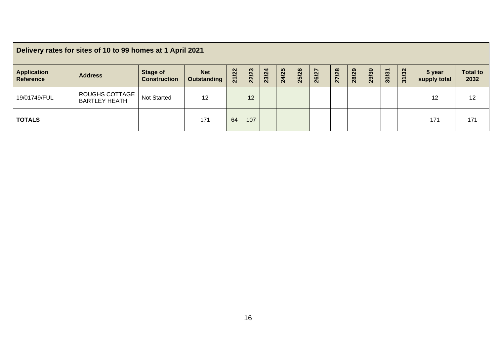| Delivery rates for sites of 10 to 99 homes at 1 April 2021 |                                        |                                 |                                  |                       |       |       |       |       |       |       |       |       |       |       |                        |                         |
|------------------------------------------------------------|----------------------------------------|---------------------------------|----------------------------------|-----------------------|-------|-------|-------|-------|-------|-------|-------|-------|-------|-------|------------------------|-------------------------|
| <b>Application</b><br><b>Reference</b>                     | <b>Address</b>                         | Stage of<br><b>Construction</b> | <b>Net</b><br><b>Outstanding</b> | /22<br>$\overline{z}$ | 22/23 | 23/24 | 24/25 | 25/26 | 26/27 | 27/28 | 28/29 | 29/30 | 30/31 | 31/32 | 5 year<br>supply total | <b>Total to</b><br>2032 |
| 19/01749/FUL                                               | ROUGHS COTTAGE<br><b>BARTLEY HEATH</b> | Not Started                     | 12                               |                       | 12    |       |       |       |       |       |       |       |       |       | 12                     | 12                      |
| <b>TOTALS</b>                                              |                                        |                                 | 171                              | 64                    | 107   |       |       |       |       |       |       |       |       |       | 171                    | 171                     |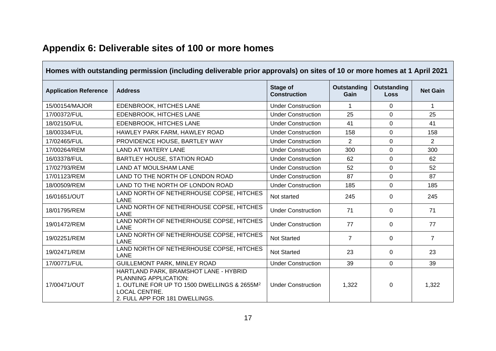| Homes with outstanding permission (including deliverable prior approvals) on sites of 10 or more homes at 1 April 2021 |                                                                                                                                                                                      |                                 |                            |                                   |                 |  |  |  |  |  |  |
|------------------------------------------------------------------------------------------------------------------------|--------------------------------------------------------------------------------------------------------------------------------------------------------------------------------------|---------------------------------|----------------------------|-----------------------------------|-----------------|--|--|--|--|--|--|
| <b>Application Reference</b>                                                                                           | <b>Address</b>                                                                                                                                                                       | Stage of<br><b>Construction</b> | <b>Outstanding</b><br>Gain | <b>Outstanding</b><br><b>Loss</b> | <b>Net Gain</b> |  |  |  |  |  |  |
| 15/00154/MAJOR                                                                                                         | EDENBROOK, HITCHES LANE                                                                                                                                                              | <b>Under Construction</b>       | 1                          | $\Omega$                          | $\mathbf{1}$    |  |  |  |  |  |  |
| 17/00372/FUL                                                                                                           | EDENBROOK, HITCHES LANE                                                                                                                                                              | <b>Under Construction</b>       | 25                         | $\mathbf 0$                       | 25              |  |  |  |  |  |  |
| 18/02150/FUL                                                                                                           | EDENBROOK, HITCHES LANE                                                                                                                                                              | <b>Under Construction</b>       | 41                         | $\mathbf 0$                       | 41              |  |  |  |  |  |  |
| 18/00334/FUL                                                                                                           | HAWLEY PARK FARM, HAWLEY ROAD                                                                                                                                                        | <b>Under Construction</b>       | 158                        | $\Omega$                          | 158             |  |  |  |  |  |  |
| 17/02465/FUL                                                                                                           | PROVIDENCE HOUSE, BARTLEY WAY                                                                                                                                                        | <b>Under Construction</b>       | $\overline{2}$             | $\Omega$                          | $\overline{2}$  |  |  |  |  |  |  |
| 17/00264/REM                                                                                                           | <b>LAND AT WATERY LANE</b>                                                                                                                                                           | <b>Under Construction</b>       | 300                        | $\Omega$                          | 300             |  |  |  |  |  |  |
| 16/03378/FUL                                                                                                           | BARTLEY HOUSE, STATION ROAD                                                                                                                                                          | <b>Under Construction</b>       | 62                         | $\overline{0}$                    | 62              |  |  |  |  |  |  |
| 17/02793/REM                                                                                                           | <b>LAND AT MOULSHAM LANE</b>                                                                                                                                                         | <b>Under Construction</b>       | 52                         | $\Omega$                          | 52              |  |  |  |  |  |  |
| 17/01123/REM                                                                                                           | LAND TO THE NORTH OF LONDON ROAD                                                                                                                                                     | <b>Under Construction</b>       | 87                         | $\Omega$                          | 87              |  |  |  |  |  |  |
| 18/00509/REM                                                                                                           | LAND TO THE NORTH OF LONDON ROAD                                                                                                                                                     | <b>Under Construction</b>       | 185                        | $\mathbf 0$                       | 185             |  |  |  |  |  |  |
| 16/01651/OUT                                                                                                           | LAND NORTH OF NETHERHOUSE COPSE, HITCHES<br><b>LANE</b>                                                                                                                              | Not started                     | 245                        | $\Omega$                          | 245             |  |  |  |  |  |  |
| 18/01795/REM                                                                                                           | LAND NORTH OF NETHERHOUSE COPSE, HITCHES<br>LANE                                                                                                                                     | <b>Under Construction</b>       | 71                         | $\Omega$                          | 71              |  |  |  |  |  |  |
| 19/01472/REM                                                                                                           | LAND NORTH OF NETHERHOUSE COPSE, HITCHES<br><b>LANE</b>                                                                                                                              | <b>Under Construction</b>       | 77                         | $\Omega$                          | 77              |  |  |  |  |  |  |
| 19/02251/REM                                                                                                           | LAND NORTH OF NETHERHOUSE COPSE, HITCHES<br>LANE                                                                                                                                     | <b>Not Started</b>              | $\overline{7}$             | $\Omega$                          | $\overline{7}$  |  |  |  |  |  |  |
| 19/02471/REM                                                                                                           | LAND NORTH OF NETHERHOUSE COPSE, HITCHES<br>LANE                                                                                                                                     | <b>Not Started</b>              | 23                         | $\Omega$                          | 23              |  |  |  |  |  |  |
| 17/00771/FUL                                                                                                           | <b>GUILLEMONT PARK, MINLEY ROAD</b>                                                                                                                                                  | <b>Under Construction</b>       | 39                         | $\mathbf 0$                       | 39              |  |  |  |  |  |  |
| 17/00471/OUT                                                                                                           | HARTLAND PARK, BRAMSHOT LANE - HYBRID<br>PLANNING APPLICATION:<br>1. OUTLINE FOR UP TO 1500 DWELLINGS & 2655M <sup>2</sup><br><b>LOCAL CENTRE.</b><br>2. FULL APP FOR 181 DWELLINGS. | <b>Under Construction</b>       | 1,322                      | 0                                 | 1,322           |  |  |  |  |  |  |

# **Appendix 6: Deliverable sites of 100 or more homes**

 $\blacksquare$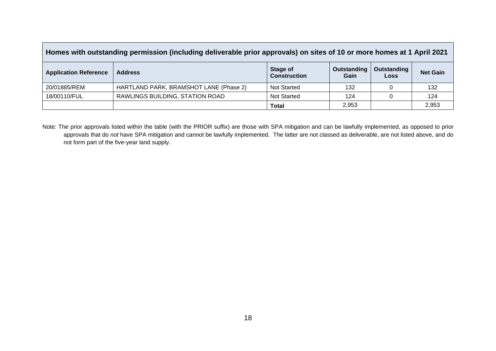| Homes with outstanding permission (including deliverable prior approvals) on sites of 10 or more homes at 1 April 2021 |                                        |                                        |                     |                            |                 |  |  |  |  |  |
|------------------------------------------------------------------------------------------------------------------------|----------------------------------------|----------------------------------------|---------------------|----------------------------|-----------------|--|--|--|--|--|
| <b>Application Reference</b>                                                                                           | <b>Address</b>                         | <b>Stage of</b><br><b>Construction</b> | Outstanding<br>Gain | Outstanding<br><b>Loss</b> | <b>Net Gain</b> |  |  |  |  |  |
| 20/01885/REM                                                                                                           | HARTLAND PARK, BRAMSHOT LANE (Phase 2) | <b>Not Started</b>                     | 132                 |                            | 132             |  |  |  |  |  |
| 18/00110/FUL                                                                                                           | RAWLINGS BUILDING, STATION ROAD        | <b>Not Started</b>                     | 124                 |                            | 124             |  |  |  |  |  |
|                                                                                                                        |                                        | <b>Total</b>                           | 2,953               |                            | 2,953           |  |  |  |  |  |

 $\mathsf{L}$ 

Note: The prior approvals listed within the table (with the PRIOR suffix) are those with SPA mitigation and can be lawfully implemented, as opposed to prior approvals that do *not* have SPA mitigation and cannot be lawfully implemented. The latter are not classed as deliverable, are not listed above, and do not form part of the five-year land supply.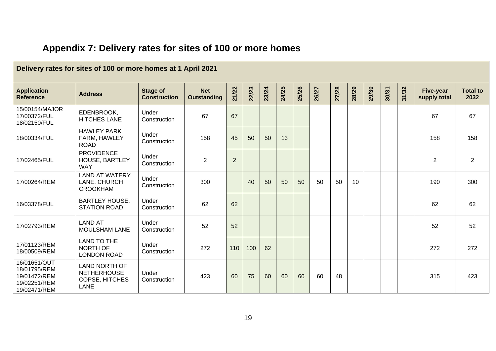| Delivery rates for sites of 100 or more homes at 1 April 2021                |                                                                             |                                        |                                  |                |       |       |       |       |       |       |       |       |       |       |                                  |                         |
|------------------------------------------------------------------------------|-----------------------------------------------------------------------------|----------------------------------------|----------------------------------|----------------|-------|-------|-------|-------|-------|-------|-------|-------|-------|-------|----------------------------------|-------------------------|
| <b>Application</b><br><b>Reference</b>                                       | <b>Address</b>                                                              | <b>Stage of</b><br><b>Construction</b> | <b>Net</b><br><b>Outstanding</b> | 21/22          | 22/23 | 23/24 | 24/25 | 25/26 | 26/27 | 27/28 | 28/29 | 29/30 | 30/31 | 31/32 | <b>Five-year</b><br>supply total | <b>Total to</b><br>2032 |
| 15/00154/MAJOR<br>17/00372/FUL<br>18/02150/FUL                               | EDENBROOK,<br><b>HITCHES LANE</b>                                           | Under<br>Construction                  | 67                               | 67             |       |       |       |       |       |       |       |       |       |       | 67                               | 67                      |
| 18/00334/FUL                                                                 | <b>HAWLEY PARK</b><br>FARM, HAWLEY<br><b>ROAD</b>                           | Under<br>Construction                  | 158                              | 45             | 50    | 50    | 13    |       |       |       |       |       |       |       | 158                              | 158                     |
| 17/02465/FUL                                                                 | <b>PROVIDENCE</b><br><b>HOUSE, BARTLEY</b><br><b>WAY</b>                    | Under<br>Construction                  | $\overline{2}$                   | $\overline{2}$ |       |       |       |       |       |       |       |       |       |       | $\overline{2}$                   | $\overline{2}$          |
| 17/00264/REM                                                                 | <b>LAND AT WATERY</b><br>LANE, CHURCH<br><b>CROOKHAM</b>                    | Under<br>Construction                  | 300                              |                | 40    | 50    | 50    | 50    | 50    | 50    | 10    |       |       |       | 190                              | 300                     |
| 16/03378/FUL                                                                 | <b>BARTLEY HOUSE,</b><br><b>STATION ROAD</b>                                | Under<br>Construction                  | 62                               | 62             |       |       |       |       |       |       |       |       |       |       | 62                               | 62                      |
| 17/02793/REM                                                                 | <b>LAND AT</b><br><b>MOULSHAM LANE</b>                                      | Under<br>Construction                  | 52                               | 52             |       |       |       |       |       |       |       |       |       |       | 52                               | 52                      |
| 17/01123/REM<br>18/00509/REM                                                 | <b>LAND TO THE</b><br>NORTH OF<br><b>LONDON ROAD</b>                        | Under<br>Construction                  | 272                              | 110            | 100   | 62    |       |       |       |       |       |       |       |       | 272                              | 272                     |
| 16/01651/OUT<br>18/01795/REM<br>19/01472/REM<br>19/02251/REM<br>19/02471/REM | <b>LAND NORTH OF</b><br><b>NETHERHOUSE</b><br>COPSE, HITCHES<br><b>LANE</b> | Under<br>Construction                  | 423                              | 60             | 75    | 60    | 60    | 60    | 60    | 48    |       |       |       |       | 315                              | 423                     |

# **Appendix 7: Delivery rates for sites of 100 or more homes**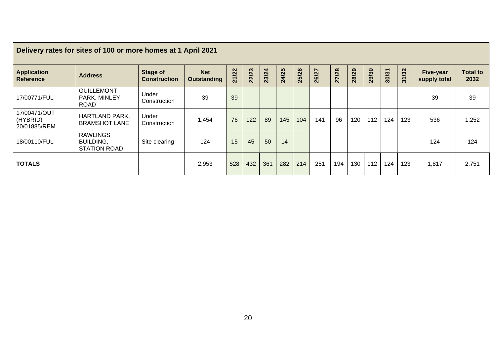| Delivery rates for sites of 100 or more homes at 1 April 2021 |                                                     |                                        |                                  |       |       |       |       |       |       |       |       |       |       |       |                                  |                         |
|---------------------------------------------------------------|-----------------------------------------------------|----------------------------------------|----------------------------------|-------|-------|-------|-------|-------|-------|-------|-------|-------|-------|-------|----------------------------------|-------------------------|
| <b>Application</b><br><b>Reference</b>                        | <b>Address</b>                                      | <b>Stage of</b><br><b>Construction</b> | <b>Net</b><br><b>Outstanding</b> | 21/22 | 22/23 | 23/24 | 24/25 | 25/26 | 26/27 | 27/28 | 28/29 | 29/30 | 30/31 | 31/32 | <b>Five-year</b><br>supply total | <b>Total to</b><br>2032 |
| 17/00771/FUL                                                  | <b>GUILLEMONT</b><br>PARK, MINLEY<br><b>ROAD</b>    | Under<br>Construction                  | 39                               | 39    |       |       |       |       |       |       |       |       |       |       | 39                               | 39                      |
| 17/00471/OUT<br>(HYBRID)<br>20/01885/REM                      | <b>HARTLAND PARK,</b><br><b>BRAMSHOT LANE</b>       | Under<br>Construction                  | 1,454                            | 76    | 122   | 89    | 145   | 104   | 141   | 96    | 120   | 112   | 124   | 123   | 536                              | 1,252                   |
| 18/00110/FUL                                                  | <b>RAWLINGS</b><br><b>BUILDING,</b><br>STATION ROAD | Site clearing                          | 124                              | 15    | 45    | 50    | 14    |       |       |       |       |       |       |       | 124                              | 124                     |
| <b>TOTALS</b>                                                 |                                                     |                                        | 2,953                            | 528   | 432   | 361   | 282   | 214   | 251   | 194   | 130   | 112   | 124   | 123   | 1,817                            | 2,751                   |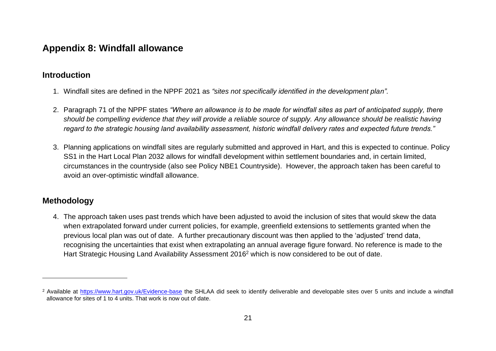## **Appendix 8: Windfall allowance**

### **Introduction**

- 1. Windfall sites are defined in the NPPF 2021 as *"sites not specifically identified in the development plan".*
- 2. Paragraph 71 of the NPPF states *"Where an allowance is to be made for windfall sites as part of anticipated supply, there should be compelling evidence that they will provide a reliable source of supply. Any allowance should be realistic having regard to the strategic housing land availability assessment, historic windfall delivery rates and expected future trends."*
- 3. Planning applications on windfall sites are regularly submitted and approved in Hart, and this is expected to continue. Policy SS1 in the Hart Local Plan 2032 allows for windfall development within settlement boundaries and, in certain limited, circumstances in the countryside (also see Policy NBE1 Countryside). However, the approach taken has been careful to avoid an over-optimistic windfall allowance.

### **Methodology**

4. The approach taken uses past trends which have been adjusted to avoid the inclusion of sites that would skew the data when extrapolated forward under current policies, for example, greenfield extensions to settlements granted when the previous local plan was out of date. A further precautionary discount was then applied to the 'adjusted' trend data, recognising the uncertainties that exist when extrapolating an annual average figure forward. No reference is made to the Hart Strategic Housing Land Availability Assessment 2016<sup>2</sup> which is now considered to be out of date.

<sup>&</sup>lt;sup>2</sup> Available at<https://www.hart.gov.uk/Evidence-base> the SHLAA did seek to identify deliverable and developable sites over 5 units and include a windfall allowance for sites of 1 to 4 units. That work is now out of date.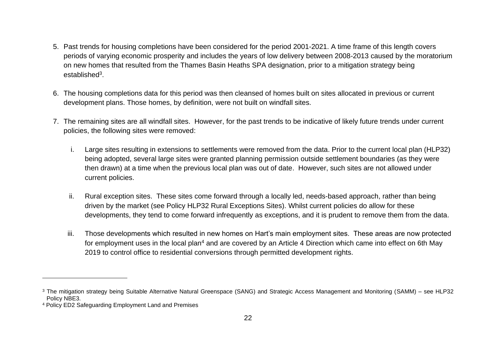- 5. Past trends for housing completions have been considered for the period 2001-2021. A time frame of this length covers periods of varying economic prosperity and includes the years of low delivery between 2008-2013 caused by the moratorium on new homes that resulted from the Thames Basin Heaths SPA designation, prior to a mitigation strategy being established<sup>3</sup>.
- 6. The housing completions data for this period was then cleansed of homes built on sites allocated in previous or current development plans. Those homes, by definition, were not built on windfall sites.
- 7. The remaining sites are all windfall sites. However, for the past trends to be indicative of likely future trends under current policies, the following sites were removed:
	- i. Large sites resulting in extensions to settlements were removed from the data. Prior to the current local plan (HLP32) being adopted, several large sites were granted planning permission outside settlement boundaries (as they were then drawn) at a time when the previous local plan was out of date. However, such sites are not allowed under current policies.
	- ii. Rural exception sites. These sites come forward through a locally led, needs-based approach, rather than being driven by the market (see Policy HLP32 Rural Exceptions Sites). Whilst current policies do allow for these developments, they tend to come forward infrequently as exceptions, and it is prudent to remove them from the data.
	- iii. Those developments which resulted in new homes on Hart's main employment sites. These areas are now protected for employment uses in the local plan<sup>4</sup> and are covered by an Article 4 Direction which came into effect on 6th May 2019 to control office to residential conversions through permitted development rights.

<sup>&</sup>lt;sup>3</sup> The mitigation strategy being Suitable Alternative Natural Greenspace (SANG) and Strategic Access Management and Monitoring (SAMM) – see HLP32 Policy NBE3.

<sup>4</sup> Policy ED2 Safeguarding Employment Land and Premises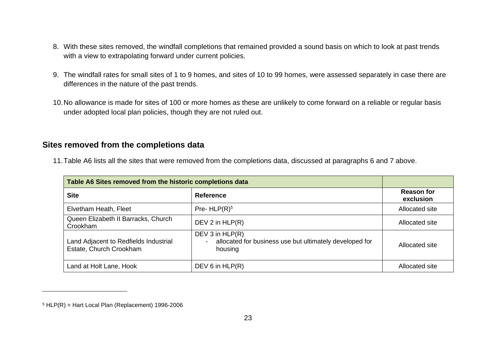- 8. With these sites removed, the windfall completions that remained provided a sound basis on which to look at past trends with a view to extrapolating forward under current policies.
- 9. The windfall rates for small sites of 1 to 9 homes, and sites of 10 to 99 homes, were assessed separately in case there are differences in the nature of the past trends.
- 10.No allowance is made for sites of 100 or more homes as these are unlikely to come forward on a reliable or regular basis under adopted local plan policies, though they are not ruled out.

### **Sites removed from the completions data**

| Table A6 Sites removed from the historic completions data        |                                                                                       |                                |
|------------------------------------------------------------------|---------------------------------------------------------------------------------------|--------------------------------|
| <b>Site</b>                                                      | <b>Reference</b>                                                                      | <b>Reason for</b><br>exclusion |
| Elvetham Heath, Fleet                                            | Pre- $HLP(R)^5$                                                                       | Allocated site                 |
| Queen Elizabeth II Barracks, Church<br>Crookham                  | DEV 2 in $HLP(R)$                                                                     | Allocated site                 |
| Land Adjacent to Redfields Industrial<br>Estate, Church Crookham | DEV 3 in HLP(R)<br>allocated for business use but ultimately developed for<br>housing | Allocated site                 |
| Land at Holt Lane, Hook                                          | DEV 6 in $HLP(R)$                                                                     | Allocated site                 |

11.Table A6 lists all the sites that were removed from the completions data, discussed at paragraphs 6 and 7 above.

 $5$  HLP(R) = Hart Local Plan (Replacement) 1996-2006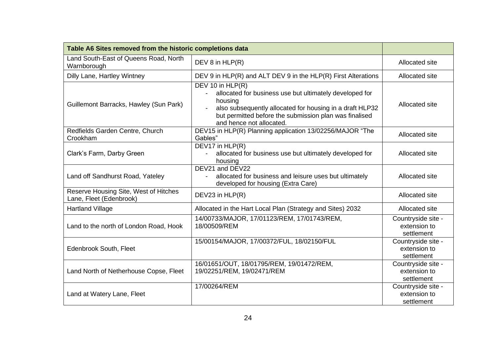| Table A6 Sites removed from the historic completions data        |                                                                                                                                                                                                                                            |                                                  |
|------------------------------------------------------------------|--------------------------------------------------------------------------------------------------------------------------------------------------------------------------------------------------------------------------------------------|--------------------------------------------------|
| Land South-East of Queens Road, North<br>Warnborough             | DEV 8 in HLP(R)                                                                                                                                                                                                                            | Allocated site                                   |
| Dilly Lane, Hartley Wintney                                      | DEV 9 in HLP(R) and ALT DEV 9 in the HLP(R) First Alterations                                                                                                                                                                              | Allocated site                                   |
| Guillemont Barracks, Hawley (Sun Park)                           | DEV 10 in $HLP(R)$<br>allocated for business use but ultimately developed for<br>housing<br>also subsequently allocated for housing in a draft HLP32<br>but permitted before the submission plan was finalised<br>and hence not allocated. | Allocated site                                   |
| Redfields Garden Centre, Church<br>Crookham                      | DEV15 in HLP(R) Planning application 13/02256/MAJOR "The<br>Gables"                                                                                                                                                                        | Allocated site                                   |
| Clark's Farm, Darby Green                                        | DEV17 in HLP(R)<br>allocated for business use but ultimately developed for<br>$\overline{\phantom{0}}$<br>housing                                                                                                                          | Allocated site                                   |
| Land off Sandhurst Road, Yateley                                 | DEV21 and DEV22<br>allocated for business and leisure uses but ultimately<br>developed for housing (Extra Care)                                                                                                                            | Allocated site                                   |
| Reserve Housing Site, West of Hitches<br>Lane, Fleet (Edenbrook) | DEV23 in HLP(R)                                                                                                                                                                                                                            | Allocated site                                   |
| <b>Hartland Village</b>                                          | Allocated in the Hart Local Plan (Strategy and Sites) 2032                                                                                                                                                                                 | Allocated site                                   |
| Land to the north of London Road, Hook                           | 14/00733/MAJOR, 17/01123/REM, 17/01743/REM,<br>18/00509/REM                                                                                                                                                                                | Countryside site -<br>extension to<br>settlement |
| Edenbrook South, Fleet                                           | 15/00154/MAJOR, 17/00372/FUL, 18/02150/FUL                                                                                                                                                                                                 | Countryside site -<br>extension to<br>settlement |
| Land North of Netherhouse Copse, Fleet                           | 16/01651/OUT, 18/01795/REM, 19/01472/REM,<br>19/02251/REM, 19/02471/REM                                                                                                                                                                    | Countryside site -<br>extension to<br>settlement |
| Land at Watery Lane, Fleet                                       | 17/00264/REM                                                                                                                                                                                                                               | Countryside site -<br>extension to<br>settlement |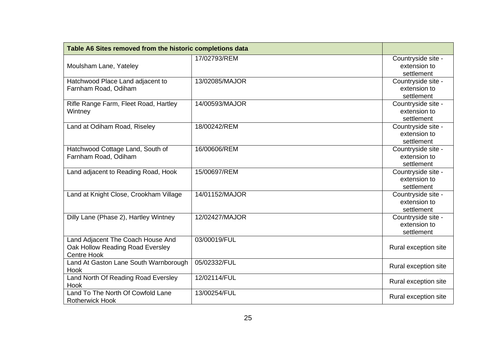| Table A6 Sites removed from the historic completions data |                |                      |
|-----------------------------------------------------------|----------------|----------------------|
|                                                           | 17/02793/REM   | Countryside site -   |
| Moulsham Lane, Yateley                                    |                | extension to         |
|                                                           |                | settlement           |
| Hatchwood Place Land adjacent to                          | 13/02085/MAJOR | Countryside site -   |
| Farnham Road, Odiham                                      |                | extension to         |
|                                                           |                | settlement           |
| Rifle Range Farm, Fleet Road, Hartley                     | 14/00593/MAJOR | Countryside site -   |
| Wintney                                                   |                | extension to         |
|                                                           |                | settlement           |
| Land at Odiham Road, Riseley                              | 18/00242/REM   | Countryside site -   |
|                                                           |                | extension to         |
|                                                           |                | settlement           |
| Hatchwood Cottage Land, South of                          | 16/00606/REM   | Countryside site -   |
| Farnham Road, Odiham                                      |                | extension to         |
|                                                           |                | settlement           |
| Land adjacent to Reading Road, Hook                       | 15/00697/REM   | Countryside site -   |
|                                                           |                | extension to         |
|                                                           |                | settlement           |
| Land at Knight Close, Crookham Village                    | 14/01152/MAJOR | Countryside site -   |
|                                                           |                | extension to         |
|                                                           |                | settlement           |
| Dilly Lane (Phase 2), Hartley Wintney                     | 12/02427/MAJOR | Countryside site -   |
|                                                           |                | extension to         |
|                                                           |                | settlement           |
| Land Adjacent The Coach House And                         | 03/00019/FUL   |                      |
| Oak Hollow Reading Road Eversley                          |                | Rural exception site |
| <b>Centre Hook</b>                                        |                |                      |
| Land At Gaston Lane South Warnborough                     | 05/02332/FUL   | Rural exception site |
| Hook                                                      |                |                      |
| Land North Of Reading Road Eversley                       | 12/02114/FUL   | Rural exception site |
| Hook                                                      |                |                      |
| Land To The North Of Cowfold Lane                         | 13/00254/FUL   | Rural exception site |
| <b>Rotherwick Hook</b>                                    |                |                      |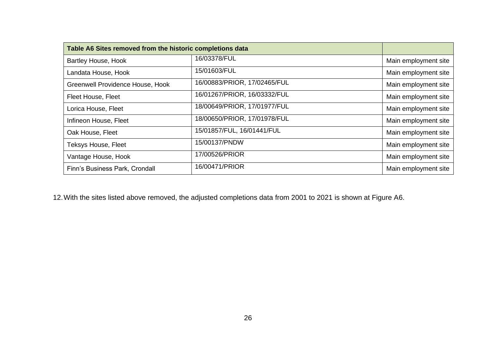| Table A6 Sites removed from the historic completions data |                              |                      |
|-----------------------------------------------------------|------------------------------|----------------------|
| <b>Bartley House, Hook</b>                                | 16/03378/FUL                 | Main employment site |
| Landata House, Hook                                       | 15/01603/FUL                 | Main employment site |
| Greenwell Providence House, Hook                          | 16/00883/PRIOR, 17/02465/FUL | Main employment site |
| Fleet House, Fleet                                        | 16/01267/PRIOR, 16/03332/FUL | Main employment site |
| Lorica House, Fleet                                       | 18/00649/PRIOR, 17/01977/FUL | Main employment site |
| Infineon House, Fleet                                     | 18/00650/PRIOR, 17/01978/FUL | Main employment site |
| Oak House, Fleet                                          | 15/01857/FUL, 16/01441/FUL   | Main employment site |
| <b>Teksys House, Fleet</b>                                | 15/00137/PNDW                | Main employment site |
| Vantage House, Hook                                       | 17/00526/PRIOR               | Main employment site |
| Finn's Business Park, Crondall                            | 16/00471/PRIOR               | Main employment site |

12.With the sites listed above removed, the adjusted completions data from 2001 to 2021 is shown at Figure A6.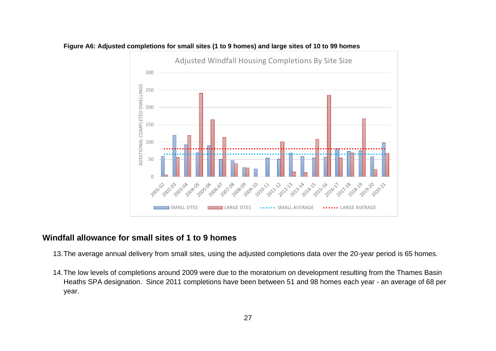

### **Figure A6: Adjusted completions for small sites (1 to 9 homes) and large sites of 10 to 99 homes**

### **Windfall allowance for small sites of 1 to 9 homes**

- 13.The average annual delivery from small sites, using the adjusted completions data over the 20-year period is 65 homes.
- 14.The low levels of completions around 2009 were due to the moratorium on development resulting from the Thames Basin Heaths SPA designation. Since 2011 completions have been between 51 and 98 homes each year - an average of 68 per year.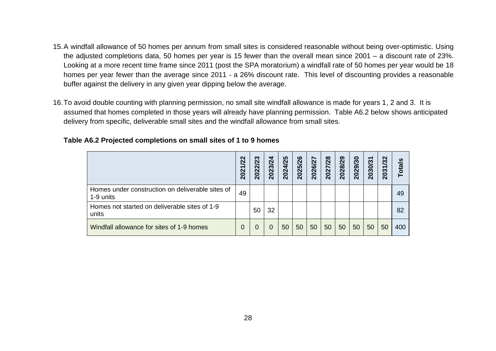- 15.A windfall allowance of 50 homes per annum from small sites is considered reasonable without being over-optimistic. Using the adjusted completions data, 50 homes per year is 15 fewer than the overall mean since 2001 – a discount rate of 23%. Looking at a more recent time frame since 2011 (post the SPA moratorium) a windfall rate of 50 homes per year would be 18 homes per year fewer than the average since 2011 - a 26% discount rate. This level of discounting provides a reasonable buffer against the delivery in any given year dipping below the average.
- 16.To avoid double counting with planning permission, no small site windfall allowance is made for years 1, 2 and 3. It is assumed that homes completed in those years will already have planning permission. Table A6.2 below shows anticipated delivery from specific, deliverable small sites and the windfall allowance from small sites.

|                                                               | 2021/22 | က<br>$\overline{\mathbf{S}}$<br>$\mathbf{\Omega}$<br>202 | 2023/24 | 2024/25 | 5/26<br>202 | 2026/27 | 2027/28 | 2028/29 | 2029/30 | 2030/31 | 2031/32 | <b>Totals</b> |
|---------------------------------------------------------------|---------|----------------------------------------------------------|---------|---------|-------------|---------|---------|---------|---------|---------|---------|---------------|
| Homes under construction on deliverable sites of<br>1-9 units | 49      |                                                          |         |         |             |         |         |         |         |         |         | 49            |
| Homes not started on deliverable sites of 1-9<br>units        |         | 50                                                       | 32      |         |             |         |         |         |         |         |         | 82            |
| Windfall allowance for sites of 1-9 homes                     | 0       |                                                          | 0       | 50      | 50          | 50      | 50      | 50      | 50      | 50      | 50      | 400           |

### **Table A6.2 Projected completions on small sites of 1 to 9 homes**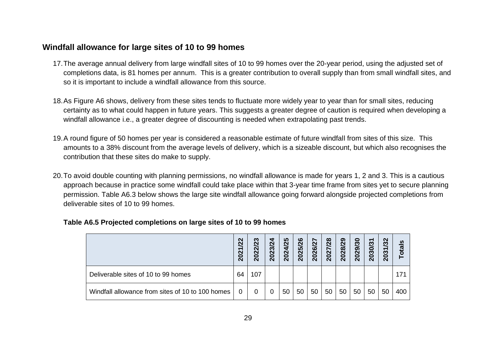### **Windfall allowance for large sites of 10 to 99 homes**

- 17.The average annual delivery from large windfall sites of 10 to 99 homes over the 20-year period, using the adjusted set of completions data, is 81 homes per annum. This is a greater contribution to overall supply than from small windfall sites, and so it is important to include a windfall allowance from this source.
- 18.As Figure A6 shows, delivery from these sites tends to fluctuate more widely year to year than for small sites, reducing certainty as to what could happen in future years. This suggests a greater degree of caution is required when developing a windfall allowance i.e., a greater degree of discounting is needed when extrapolating past trends.
- 19.A round figure of 50 homes per year is considered a reasonable estimate of future windfall from sites of this size. This amounts to a 38% discount from the average levels of delivery, which is a sizeable discount, but which also recognises the contribution that these sites do make to supply.
- 20.To avoid double counting with planning permissions, no windfall allowance is made for years 1, 2 and 3. This is a cautious approach because in practice some windfall could take place within that 3-year time frame from sites yet to secure planning permission. Table A6.3 below shows the large site windfall allowance going forward alongside projected completions from deliverable sites of 10 to 99 homes.

|                                                  | /22<br>2021 | 23<br>022<br>$\overline{\mathbf{N}}$ | 2023/24 | <b>25</b><br>2024 | 26<br>025<br>$\mathbf{\tilde{N}}$ | 2026/27 | 2027/28 | 028/29<br>$\mathbf{\tilde{N}}$ | 2029/30 | 030/31<br>$\mathbf{\Omega}$ | 2031/32 | <b>Totals</b> |
|--------------------------------------------------|-------------|--------------------------------------|---------|-------------------|-----------------------------------|---------|---------|--------------------------------|---------|-----------------------------|---------|---------------|
| Deliverable sites of 10 to 99 homes              | 64          | 107                                  |         |                   |                                   |         |         |                                |         |                             |         | 171           |
| Windfall allowance from sites of 10 to 100 homes |             |                                      | 0       | 50                | 50                                | 50      | 50      | 50                             | 50      | 50                          | 50      | 400           |

|  | Table A6.5 Projected completions on large sites of 10 to 99 homes |  |  |
|--|-------------------------------------------------------------------|--|--|
|--|-------------------------------------------------------------------|--|--|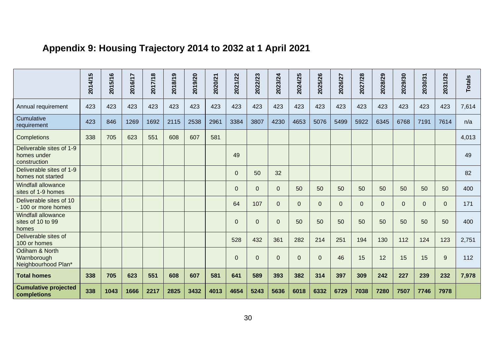# **Appendix 9: Housing Trajectory 2014 to 2032 at 1 April 2021**

|                                                         | 2014/15 | 2015/16 | 2016/17 | 2017/18 | 2018/19 | 2019/20 | 2020/21 | 2021/22        | 2022/23      | 2023/24      | 2024/25  | 2025/26        | 2026/27     | 2027/28        | 2028/29        | 2029/30     | 2030/31        | 2031/32        | <b>Totals</b> |
|---------------------------------------------------------|---------|---------|---------|---------|---------|---------|---------|----------------|--------------|--------------|----------|----------------|-------------|----------------|----------------|-------------|----------------|----------------|---------------|
| Annual requirement                                      | 423     | 423     | 423     | 423     | 423     | 423     | 423     | 423            | 423          | 423          | 423      | 423            | 423         | 423            | 423            | 423         | 423            | 423            | 7,614         |
| Cumulative<br>requirement                               | 423     | 846     | 1269    | 1692    | 2115    | 2538    | 2961    | 3384           | 3807         | 4230         | 4653     | 5076           | 5499        | 5922           | 6345           | 6768        | 7191           | 7614           | n/a           |
| Completions                                             | 338     | 705     | 623     | 551     | 608     | 607     | 581     |                |              |              |          |                |             |                |                |             |                |                | 4,013         |
| Deliverable sites of 1-9<br>homes under<br>construction |         |         |         |         |         |         |         | 49             |              |              |          |                |             |                |                |             |                |                | 49            |
| Deliverable sites of 1-9<br>homes not started           |         |         |         |         |         |         |         | $\Omega$       | 50           | 32           |          |                |             |                |                |             |                |                | 82            |
| <b>Windfall allowance</b><br>sites of 1-9 homes         |         |         |         |         |         |         |         | $\Omega$       | $\Omega$     | $\mathbf{0}$ | 50       | 50             | 50          | 50             | 50             | 50          | 50             | 50             | 400           |
| Deliverable sites of 10<br>- 100 or more homes          |         |         |         |         |         |         |         | 64             | 107          | $\mathbf 0$  | $\Omega$ | $\overline{0}$ | $\mathbf 0$ | $\overline{0}$ | $\overline{0}$ | $\mathbf 0$ | $\overline{0}$ | $\overline{0}$ | 171           |
| <b>Windfall allowance</b><br>sites of 10 to 99<br>homes |         |         |         |         |         |         |         | $\overline{0}$ | $\mathbf{0}$ | $\mathbf{0}$ | 50       | 50             | 50          | 50             | 50             | 50          | 50             | 50             | 400           |
| Deliverable sites of<br>100 or homes                    |         |         |         |         |         |         |         | 528            | 432          | 361          | 282      | 214            | 251         | 194            | 130            | 112         | 124            | 123            | 2,751         |
| Odiham & North<br>Warnborough<br>Neighbourhood Plan*    |         |         |         |         |         |         |         | $\Omega$       | $\mathbf 0$  | $\mathbf{0}$ | $\Omega$ | $\Omega$       | 46          | 15             | 12             | 15          | 15             | 9              | 112           |
| <b>Total homes</b>                                      | 338     | 705     | 623     | 551     | 608     | 607     | 581     | 641            | 589          | 393          | 382      | 314            | 397         | 309            | 242            | 227         | 239            | 232            | 7,978         |
| <b>Cumulative projected</b><br>completions              | 338     | 1043    | 1666    | 2217    | 2825    | 3432    | 4013    | 4654           | 5243         | 5636         | 6018     | 6332           | 6729        | 7038           | 7280           | 7507        | 7746           | 7978           |               |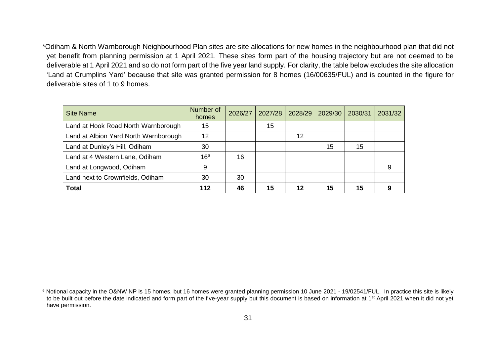\*Odiham & North Warnborough Neighbourhood Plan sites are site allocations for new homes in the neighbourhood plan that did not yet benefit from planning permission at 1 April 2021. These sites form part of the housing trajectory but are not deemed to be deliverable at 1 April 2021 and so do not form part of the five year land supply. For clarity, the table below excludes the site allocation 'Land at Crumplins Yard' because that site was granted permission for 8 homes (16/00635/FUL) and is counted in the figure for deliverable sites of 1 to 9 homes.

| <b>Site Name</b>                      | Number of<br>homes | 2026/27 | 2027/28 | 2028/29 | 2029/30 | 2030/31 | 2031/32 |
|---------------------------------------|--------------------|---------|---------|---------|---------|---------|---------|
| Land at Hook Road North Warnborough   | 15                 |         | 15      |         |         |         |         |
| Land at Albion Yard North Warnborough | 12                 |         |         | 12      |         |         |         |
| Land at Dunley's Hill, Odiham         | 30                 |         |         |         | 15      | 15      |         |
| Land at 4 Western Lane, Odiham        | 16 <sup>6</sup>    | 16      |         |         |         |         |         |
| Land at Longwood, Odiham              | 9                  |         |         |         |         |         | 9       |
| Land next to Crownfields, Odiham      | 30                 | 30      |         |         |         |         |         |
| <b>Total</b>                          | 112                | 46      | 15      | 12      | 15      | 15      | 9       |

<sup>&</sup>lt;sup>6</sup> Notional capacity in the O&NW NP is 15 homes, but 16 homes were granted planning permission 10 June 2021 - 19/02541/FUL. In practice this site is likely to be built out before the date indicated and form part of the five-year supply but this document is based on information at 1<sup>st</sup> April 2021 when it did not yet have permission.